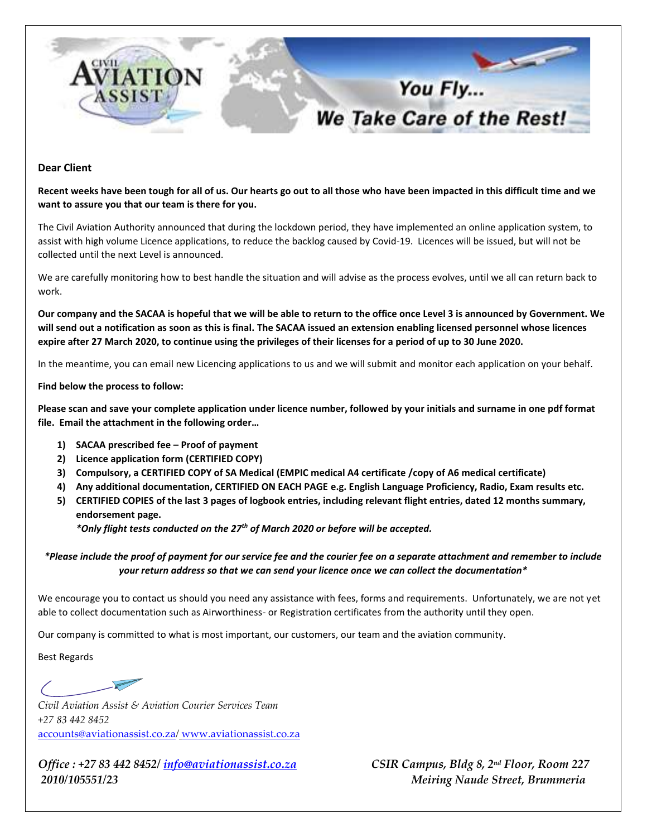

## **Dear Client**

**Recent weeks have been tough for all of us. Our hearts go out to all those who have been impacted in this difficult time and we want to assure you that our team is there for you.** 

The Civil Aviation Authority announced that during the lockdown period, they have implemented an online application system, to assist with high volume Licence applications, to reduce the backlog caused by Covid-19. Licences will be issued, but will not be collected until the next Level is announced.

We are carefully monitoring how to best handle the situation and will advise as the process evolves, until we all can return back to work.

**Our company and the SACAA is hopeful that we will be able to return to the office once Level 3 is announced by Government. We will send out a notification as soon as this is final. The SACAA issued an extension enabling licensed personnel whose licences expire after 27 March 2020, to continue using the privileges of their licenses for a period of up to 30 June 2020.** 

In the meantime, you can email new Licencing applications to us and we will submit and monitor each application on your behalf.

## **Find below the process to follow:**

**Please scan and save your complete application under licence number, followed by your initials and surname in one pdf format file. Email the attachment in the following order…**

- **1) SACAA prescribed fee – Proof of payment**
- **2) Licence application form (CERTIFIED COPY)**
- **3) Compulsory, a CERTIFIED COPY of SA Medical (EMPIC medical A4 certificate /copy of A6 medical certificate)**
- **4) Any additional documentation, CERTIFIED ON EACH PAGE e.g. English Language Proficiency, Radio, Exam results etc.**
- **5) CERTIFIED COPIES of the last 3 pages of logbook entries, including relevant flight entries, dated 12 months summary, endorsement page.**

*\*Only flight tests conducted on the 27th of March 2020 or before will be accepted.* 

*\*Please include the proof of payment for our service fee and the courier fee on a separate attachment and remember to include your return address so that we can send your licence once we can collect the documentation\**

We encourage you to contact us should you need any assistance with fees, forms and requirements. Unfortunately, we are not yet able to collect documentation such as Airworthiness- or Registration certificates from the authority until they open.

Our company is committed to what is most important, our customers, our team and the aviation community.

Best Regards

 $\overline{\phantom{0}}$ 

*Civil Aviation Assist & Aviation Courier Services Team +27 83 442 8452* [accounts@aviationassist.co.za](mailto:accounts@aviationassist.co.za)*/* [www.aviationassist.co.za](http://www.aviationassist.co.za/)

*Office : +27 83 442 8452[/ info@aviationassist.co.za](mailto:info@aviationassist.co.za) 2010/105551/23 Meiring Naude Street, Brummeria* 

*CSIR Campus, Bldg 8, 2<sup>nd</sup> Floor, Room 227*